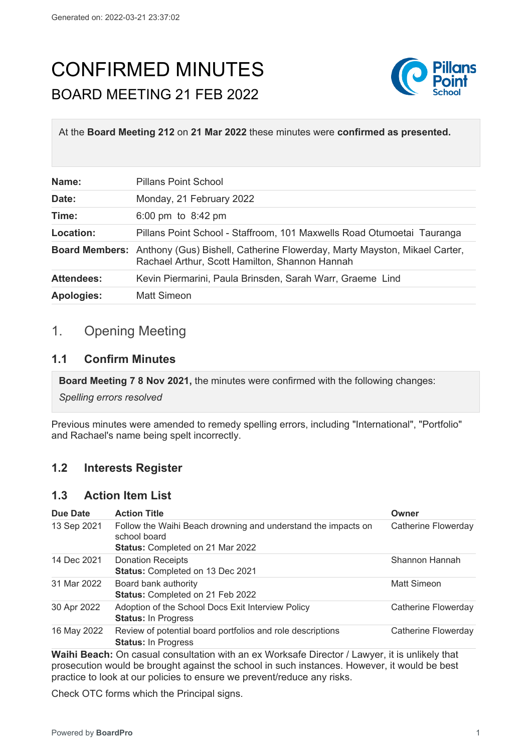# CONFIRMED MINUTES BOARD MEETING 21 FEB 2022



At the **Board Meeting 212** on **21 Mar 2022** these minutes were **confirmed as presented.**

| Name:             | <b>Pillans Point School</b>                                                                                                                       |
|-------------------|---------------------------------------------------------------------------------------------------------------------------------------------------|
| Date:             | Monday, 21 February 2022                                                                                                                          |
| Time:             | 6:00 pm to $8:42$ pm                                                                                                                              |
| Location:         | Pillans Point School - Staffroom, 101 Maxwells Road Otumoetai Tauranga                                                                            |
|                   | <b>Board Members:</b> Anthony (Gus) Bishell, Catherine Flowerday, Marty Mayston, Mikael Carter,<br>Rachael Arthur, Scott Hamilton, Shannon Hannah |
| <b>Attendees:</b> | Kevin Piermarini, Paula Brinsden, Sarah Warr, Graeme Lind                                                                                         |
| <b>Apologies:</b> | Matt Simeon                                                                                                                                       |

## 1. Opening Meeting

#### **1.1 Confirm Minutes**

**Board Meeting 7 8 Nov 2021,** the minutes were confirmed with the following changes:

*Spelling errors resolved*

Previous minutes were amended to remedy spelling errors, including "International", "Portfolio" and Rachael's name being spelt incorrectly.

## **1.2 Interests Register**

#### **1.3 Action Item List**

| Due Date    | <b>Action Title</b>                                                                      | Owner               |
|-------------|------------------------------------------------------------------------------------------|---------------------|
| 13 Sep 2021 | Follow the Waihi Beach drowning and understand the impacts on<br>school board            | Catherine Flowerday |
|             | <b>Status: Completed on 21 Mar 2022</b>                                                  |                     |
| 14 Dec 2021 | <b>Donation Receipts</b><br>Status: Completed on 13 Dec 2021                             | Shannon Hannah      |
| 31 Mar 2022 | Board bank authority<br>Status: Completed on 21 Feb 2022                                 | Matt Simeon         |
| 30 Apr 2022 | Adoption of the School Docs Exit Interview Policy<br><b>Status: In Progress</b>          | Catherine Flowerday |
| 16 May 2022 | Review of potential board portfolios and role descriptions<br><b>Status: In Progress</b> | Catherine Flowerday |
|             |                                                                                          |                     |

**Waihi Beach:** On casual consultation with an ex Worksafe Director / Lawyer, it is unlikely that prosecution would be brought against the school in such instances. However, it would be best practice to look at our policies to ensure we prevent/reduce any risks.

Check OTC forms which the Principal signs.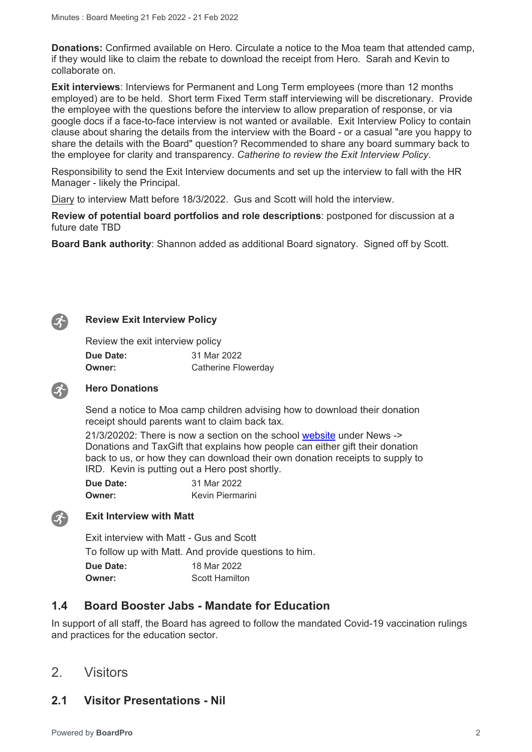**Donations:** Confirmed available on Hero. Circulate a notice to the Moa team that attended camp, if they would like to claim the rebate to download the receipt from Hero. Sarah and Kevin to collaborate on.

**Exit interviews**: Interviews for Permanent and Long Term employees (more than 12 months employed) are to be held. Short term Fixed Term staff interviewing will be discretionary. Provide the employee with the questions before the interview to allow preparation of response, or via google docs if a face-to-face interview is not wanted or available. Exit Interview Policy to contain clause about sharing the details from the interview with the Board - or a casual "are you happy to share the details with the Board" question? Recommended to share any board summary back to the employee for clarity and transparency. *Catherine to review the Exit Interview Policy*.

Responsibility to send the Exit Interview documents and set up the interview to fall with the HR Manager - likely the Principal.

Diary to interview Matt before 18/3/2022. Gus and Scott will hold the interview.

**Review of potential board portfolios and role descriptions**: postponed for discussion at a future date TBD

**Board Bank authority**: Shannon added as additional Board signatory. Signed off by Scott.



 $\mathcal{L}$ 

#### **Review Exit Interview Policy**

Review the exit interview policy

| <b>Due Date:</b> | 31 Mar 2022                |
|------------------|----------------------------|
| <b>Owner:</b>    | <b>Catherine Flowerday</b> |

#### **Hero Donations**

Send a notice to Moa camp children advising how to download their donation receipt should parents want to claim back tax.

21/3/20202: There is now a section on the school [website](https://www.pillanspoint.school.nz/news) under News -> Donations and TaxGift that explains how people can either gift their donation back to us, or how they can download their own donation receipts to supply to IRD. Kevin is putting out a Hero post shortly.

**Due Date:** 31 Mar 2022 **Owner:** Kevin Piermarini



#### **Exit Interview with Matt**

Exit interview with Matt - Gus and Scott

To follow up with Matt. And provide questions to him.

**Due Date:** 18 Mar 2022 **Owner:** Scott Hamilton

#### **1.4 Board Booster Jabs - Mandate for Education**

In support of all staff, the Board has agreed to follow the mandated Covid-19 vaccination rulings and practices for the education sector.

2. Visitors

#### **2.1 Visitor Presentations - Nil**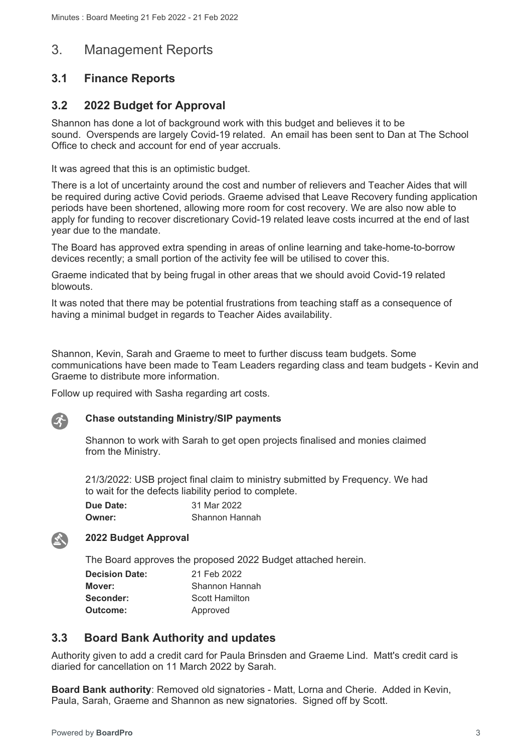## 3. Management Reports

## **3.1 Finance Reports**

## **3.2 2022 Budget for Approval**

Shannon has done a lot of background work with this budget and believes it to be sound. Overspends are largely Covid-19 related. An email has been sent to Dan at The School Office to check and account for end of year accruals.

It was agreed that this is an optimistic budget.

There is a lot of uncertainty around the cost and number of relievers and Teacher Aides that will be required during active Covid periods. Graeme advised that Leave Recovery funding application periods have been shortened, allowing more room for cost recovery. We are also now able to apply for funding to recover discretionary Covid-19 related leave costs incurred at the end of last year due to the mandate.

The Board has approved extra spending in areas of online learning and take-home-to-borrow devices recently; a small portion of the activity fee will be utilised to cover this.

Graeme indicated that by being frugal in other areas that we should avoid Covid-19 related blowouts.

It was noted that there may be potential frustrations from teaching staff as a consequence of having a minimal budget in regards to Teacher Aides availability.

Shannon, Kevin, Sarah and Graeme to meet to further discuss team budgets. Some communications have been made to Team Leaders regarding class and team budgets - Kevin and Graeme to distribute more information.

Follow up required with Sasha regarding art costs.

## $\mathcal{L}$

**EX** 

#### **Chase outstanding Ministry/SIP payments**

Shannon to work with Sarah to get open projects finalised and monies claimed from the Ministry.

21/3/2022: USB project final claim to ministry submitted by Frequency. We had to wait for the defects liability period to complete.

| Due Date: | 31 Mar 2022    |
|-----------|----------------|
| Owner:    | Shannon Hannah |

#### **2022 Budget Approval**

The Board approves the proposed 2022 Budget attached herein.

| <b>Decision Date:</b> | 21 Feb 2022    |
|-----------------------|----------------|
| Mover:                | Shannon Hannah |
| Seconder:             | Scott Hamilton |
| Outcome:              | Approved       |

## **3.3 Board Bank Authority and updates**

Authority given to add a credit card for Paula Brinsden and Graeme Lind. Matt's credit card is diaried for cancellation on 11 March 2022 by Sarah.

**Board Bank authority**: Removed old signatories - Matt, Lorna and Cherie. Added in Kevin, Paula, Sarah, Graeme and Shannon as new signatories. Signed off by Scott.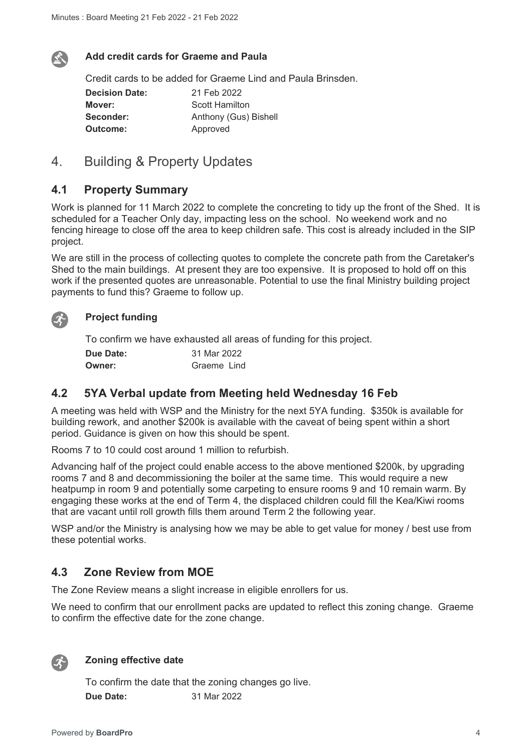

 $\mathcal{L}$ 

#### **Add credit cards for Graeme and Paula**

Credit cards to be added for Graeme Lind and Paula Brinsden.

**Decision Date:** 21 Feb 2022 **Mover:** Scott Hamilton **Seconder:** Anthony (Gus) Bishell **Outcome:** Approved

## 4. Building & Property Updates

#### **4.1 Property Summary**

Work is planned for 11 March 2022 to complete the concreting to tidy up the front of the Shed. It is scheduled for a Teacher Only day, impacting less on the school. No weekend work and no fencing hireage to close off the area to keep children safe. This cost is already included in the SIP project.

We are still in the process of collecting quotes to complete the concrete path from the Caretaker's Shed to the main buildings. At present they are too expensive. It is proposed to hold off on this work if the presented quotes are unreasonable. Potential to use the final Ministry building project payments to fund this? Graeme to follow up.

#### **Project funding**

To confirm we have exhausted all areas of funding for this project.

| <b>Due Date:</b> | 31 Mar 2022 |
|------------------|-------------|
| <b>Owner:</b>    | Graeme Lind |

#### **4.2 5YA Verbal update from Meeting held Wednesday 16 Feb**

A meeting was held with WSP and the Ministry for the next 5YA funding. \$350k is available for building rework, and another \$200k is available with the caveat of being spent within a short period. Guidance is given on how this should be spent.

Rooms 7 to 10 could cost around 1 million to refurbish.

Advancing half of the project could enable access to the above mentioned \$200k, by upgrading rooms 7 and 8 and decommissioning the boiler at the same time. This would require a new heatpump in room 9 and potentially some carpeting to ensure rooms 9 and 10 remain warm. By engaging these works at the end of Term 4, the displaced children could fill the Kea/Kiwi rooms that are vacant until roll growth fills them around Term 2 the following year.

WSP and/or the Ministry is analysing how we may be able to get value for money / best use from these potential works.

#### **4.3 Zone Review from MOE**

The Zone Review means a slight increase in eligible enrollers for us.

We need to confirm that our enrollment packs are updated to reflect this zoning change. Graeme to confirm the effective date for the zone change.



#### **Zoning effective date**

To confirm the date that the zoning changes go live. **Due Date:** 31 Mar 2022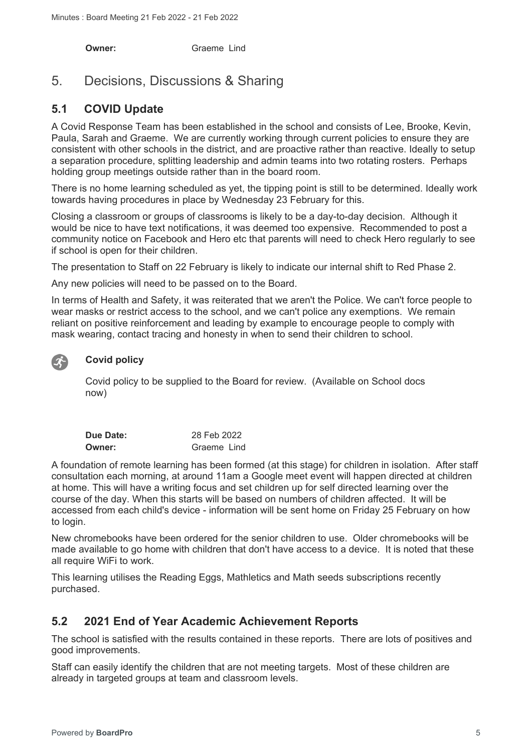**Owner:** Graeme Lind

## 5. Decisions, Discussions & Sharing

## **5.1 COVID Update**

A Covid Response Team has been established in the school and consists of Lee, Brooke, Kevin, Paula, Sarah and Graeme. We are currently working through current policies to ensure they are consistent with other schools in the district, and are proactive rather than reactive. Ideally to setup a separation procedure, splitting leadership and admin teams into two rotating rosters. Perhaps holding group meetings outside rather than in the board room.

There is no home learning scheduled as yet, the tipping point is still to be determined. Ideally work towards having procedures in place by Wednesday 23 February for this.

Closing a classroom or groups of classrooms is likely to be a day-to-day decision. Although it would be nice to have text notifications, it was deemed too expensive. Recommended to post a community notice on Facebook and Hero etc that parents will need to check Hero regularly to see if school is open for their children.

The presentation to Staff on 22 February is likely to indicate our internal shift to Red Phase 2.

Any new policies will need to be passed on to the Board.

In terms of Health and Safety, it was reiterated that we aren't the Police. We can't force people to wear masks or restrict access to the school, and we can't police any exemptions. We remain reliant on positive reinforcement and leading by example to encourage people to comply with mask wearing, contact tracing and honesty in when to send their children to school.

#### **Covid policy**

Covid policy to be supplied to the Board for review. (Available on School docs now)

| Due Date: | 28 Feb 2022 |
|-----------|-------------|
| Owner:    | Graeme Lind |

A foundation of remote learning has been formed (at this stage) for children in isolation. After staff consultation each morning, at around 11am a Google meet event will happen directed at children at home. This will have a writing focus and set children up for self directed learning over the course of the day. When this starts will be based on numbers of children affected. It will be accessed from each child's device - information will be sent home on Friday 25 February on how to login.

New chromebooks have been ordered for the senior children to use. Older chromebooks will be made available to go home with children that don't have access to a device. It is noted that these all require WiFi to work.

This learning utilises the Reading Eggs, Mathletics and Math seeds subscriptions recently purchased.

## **5.2 2021 End of Year Academic Achievement Reports**

The school is satisfied with the results contained in these reports. There are lots of positives and good improvements.

Staff can easily identify the children that are not meeting targets. Most of these children are already in targeted groups at team and classroom levels.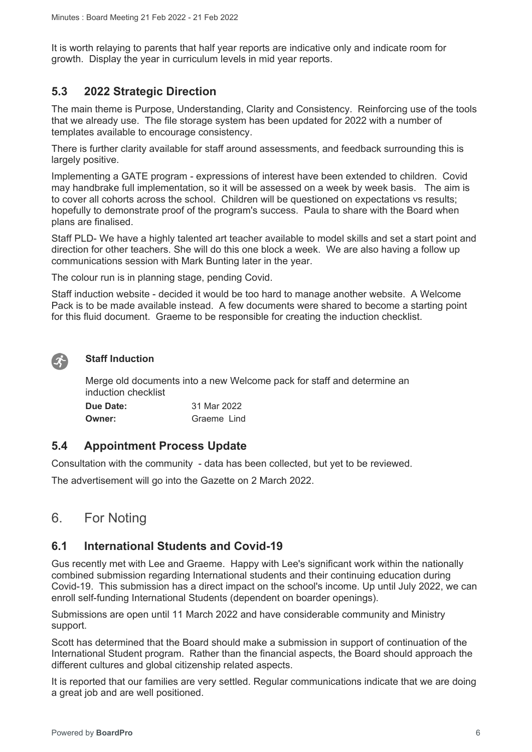It is worth relaying to parents that half year reports are indicative only and indicate room for growth. Display the year in curriculum levels in mid year reports.

## **5.3 2022 Strategic Direction**

The main theme is Purpose, Understanding, Clarity and Consistency. Reinforcing use of the tools that we already use. The file storage system has been updated for 2022 with a number of templates available to encourage consistency.

There is further clarity available for staff around assessments, and feedback surrounding this is largely positive.

Implementing a GATE program - expressions of interest have been extended to children. Covid may handbrake full implementation, so it will be assessed on a week by week basis. The aim is to cover all cohorts across the school. Children will be questioned on expectations vs results; hopefully to demonstrate proof of the program's success. Paula to share with the Board when plans are finalised.

Staff PLD- We have a highly talented art teacher available to model skills and set a start point and direction for other teachers. She will do this one block a week. We are also having a follow up communications session with Mark Bunting later in the year.

The colour run is in planning stage, pending Covid.

Staff induction website - decided it would be too hard to manage another website. A Welcome Pack is to be made available instead. A few documents were shared to become a starting point for this fluid document. Graeme to be responsible for creating the induction checklist.



#### **Staff Induction**

Merge old documents into a new Welcome pack for staff and determine an induction checklist

| Due Date: | 31 Mar 2022 |
|-----------|-------------|
| Owner:    | Graeme Lind |

#### **5.4 Appointment Process Update**

Consultation with the community - data has been collected, but yet to be reviewed.

The advertisement will go into the Gazette on 2 March 2022.

## 6. For Noting

#### **6.1 International Students and Covid-19**

Gus recently met with Lee and Graeme. Happy with Lee's significant work within the nationally combined submission regarding International students and their continuing education during Covid-19. This submission has a direct impact on the school's income. Up until July 2022, we can enroll self-funding International Students (dependent on boarder openings).

Submissions are open until 11 March 2022 and have considerable community and Ministry support.

Scott has determined that the Board should make a submission in support of continuation of the International Student program. Rather than the financial aspects, the Board should approach the different cultures and global citizenship related aspects.

It is reported that our families are very settled. Regular communications indicate that we are doing a great job and are well positioned.